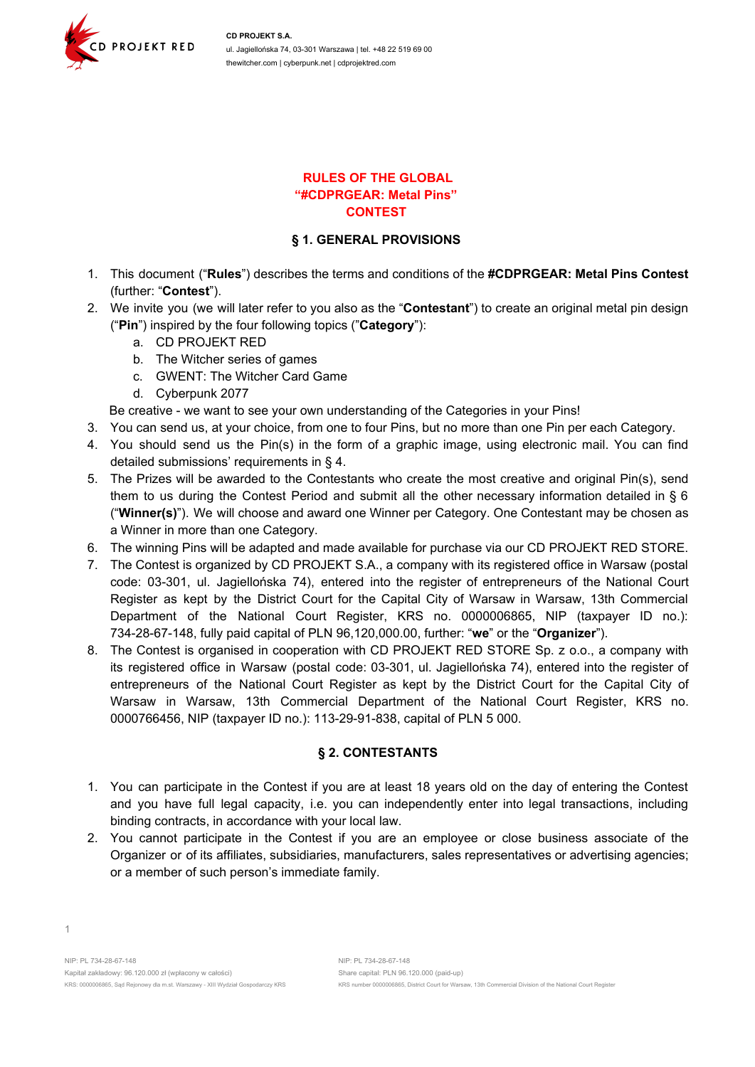

#### **RULES OF THE GLOBAL "#CDPRGEAR: Metal Pins" CONTEST**

### **§ 1. GENERAL PROVISIONS**

- 1. This document ("**Rules**") describes the terms and conditions of the **#CDPRGEAR: Metal Pins Contest** (further: "**Contest**").
- 2. We invite you (we will later refer to you also as the "**Contestant**") to create an original metal pin design ("**Pin**") inspired by the four following topics ("**Category**"):
	- a. CD PROJEKT RED
	- b. The Witcher series of games
	- c. GWENT: The Witcher Card Game
	- d. Cyberpunk 2077

Be creative - we want to see your own understanding of the Categories in your Pins!

- 3. You can send us, at your choice, from one to four Pins, but no more than one Pin per each Category.
- 4. You should send us the Pin(s) in the form of a graphic image, using electronic mail. You can find detailed submissions' requirements in § 4.
- 5. The Prizes will be awarded to the Contestants who create the most creative and original Pin(s), send them to us during the Contest Period and submit all the other necessary information detailed in § 6 ("**Winner(s)**"). We will choose and award one Winner per Category. One Contestant may be chosen as a Winner in more than one Category.
- 6. The winning Pins will be adapted and made available for purchase via our CD PROJEKT RED STORE.
- 7. The Contest is organized by CD PROJEKT S.A., a company with its registered office in Warsaw (postal code: 03-301, ul. Jagiellońska 74), entered into the register of entrepreneurs of the National Court Register as kept by the District Court for the Capital City of Warsaw in Warsaw, 13th Commercial Department of the National Court Register, KRS no. 0000006865, NIP (taxpayer ID no.): 734-28-67-148, fully paid capital of PLN 96,120,000.00, further: "**we**" or the "**Organizer**").
- 8. The Contest is organised in cooperation with CD PROJEKT RED STORE Sp. z o.o., a company with its registered office in Warsaw (postal code: 03-301, ul. Jagiellońska 74), entered into the register of entrepreneurs of the National Court Register as kept by the District Court for the Capital City of Warsaw in Warsaw, 13th Commercial Department of the National Court Register, KRS no. 0000766456, NIP (taxpayer ID no.): 113-29-91-838, capital of PLN 5 000.

#### **§ 2. CONTESTANTS**

- 1. You can participate in the Contest if you are at least 18 years old on the day of entering the Contest and you have full legal capacity, i.e. you can independently enter into legal transactions, including binding contracts, in accordance with your local law.
- 2. You cannot participate in the Contest if you are an employee or close business associate of the Organizer or of its affiliates, subsidiaries, manufacturers, sales representatives or advertising agencies; or a member of such person's immediate family.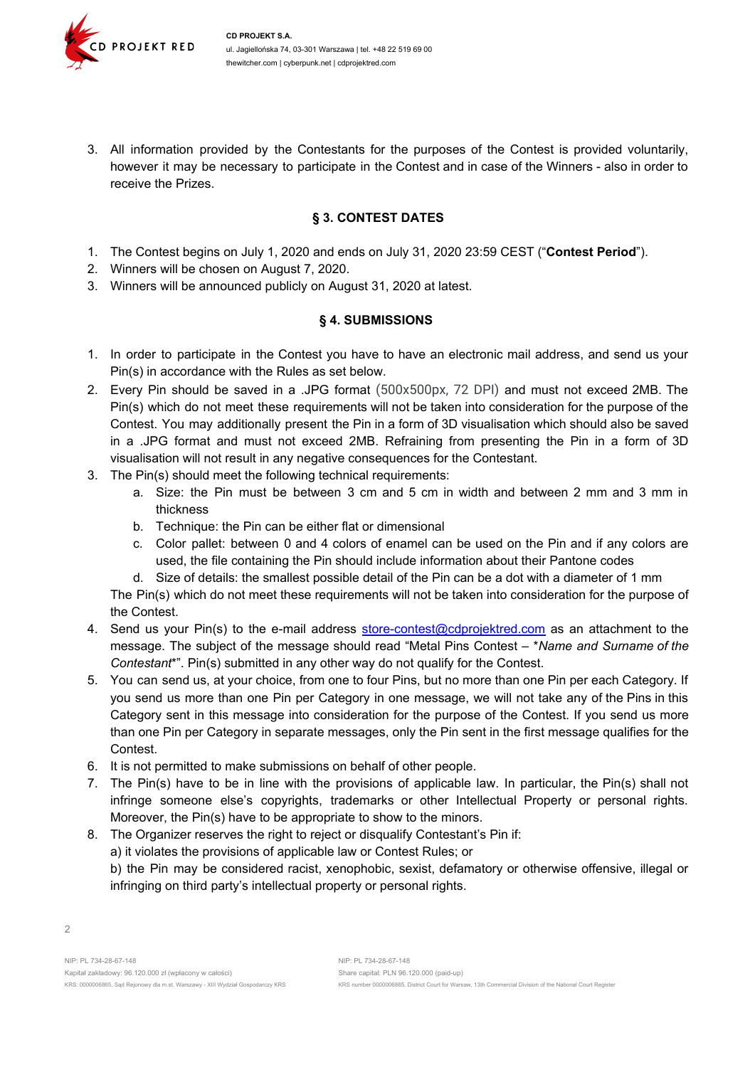

3. All information provided by the Contestants for the purposes of the Contest is provided voluntarily, however it may be necessary to participate in the Contest and in case of the Winners - also in order to receive the Prizes.

### **§ 3. CONTEST DATES**

- 1. The Contest begins on July 1, 2020 and ends on July 31, 2020 23:59 CEST ("**Contest Period**").
- 2. Winners will be chosen on August 7, 2020.
- 3. Winners will be announced publicly on August 31, 2020 at latest.

#### **§ 4. SUBMISSIONS**

- 1. In order to participate in the Contest you have to have an electronic mail address, and send us your Pin(s) in accordance with the Rules as set below.
- 2. Every Pin should be saved in a .JPG format (500x500px, 72 DPI) and must not exceed 2MB. The Pin(s) which do not meet these requirements will not be taken into consideration for the purpose of the Contest. You may additionally present the Pin in a form of 3D visualisation which should also be saved in a .JPG format and must not exceed 2MB. Refraining from presenting the Pin in a form of 3D visualisation will not result in any negative consequences for the Contestant.
- 3. The Pin(s) should meet the following technical requirements:
	- a. Size: the Pin must be between 3 cm and 5 cm in width and between 2 mm and 3 mm in thickness
	- b. Technique: the Pin can be either flat or dimensional
	- c. Color pallet: between 0 and 4 colors of enamel can be used on the Pin and if any colors are used, the file containing the Pin should include information about their Pantone codes
	- d. Size of details: the smallest possible detail of the Pin can be a dot with a diameter of 1 mm

The Pin(s) which do not meet these requirements will not be taken into consideration for the purpose of the Contest.

- 4. Send us your Pin(s) to the e-mail address [store-contest@cdprojektred.com](mailto:store-contest@cdprojektred.com) as an attachment to the message. The subject of the message should read "Metal Pins Contest – \**Name and Surname of the Contestant*\*". Pin(s) submitted in any other way do not qualify for the Contest.
- 5. You can send us, at your choice, from one to four Pins, but no more than one Pin per each Category. If you send us more than one Pin per Category in one message, we will not take any of the Pins in this Category sent in this message into consideration for the purpose of the Contest. If you send us more than one Pin per Category in separate messages, only the Pin sent in the first message qualifies for the Contest.
- 6. It is not permitted to make submissions on behalf of other people.
- 7. The Pin(s) have to be in line with the provisions of applicable law. In particular, the Pin(s) shall not infringe someone else's copyrights, trademarks or other Intellectual Property or personal rights. Moreover, the Pin(s) have to be appropriate to show to the minors.
- 8. The Organizer reserves the right to reject or disqualify Contestant's Pin if:
	- a) it violates the provisions of applicable law or Contest Rules; or

b) the Pin may be considered racist, xenophobic, sexist, defamatory or otherwise offensive, illegal or infringing on third party's intellectual property or personal rights.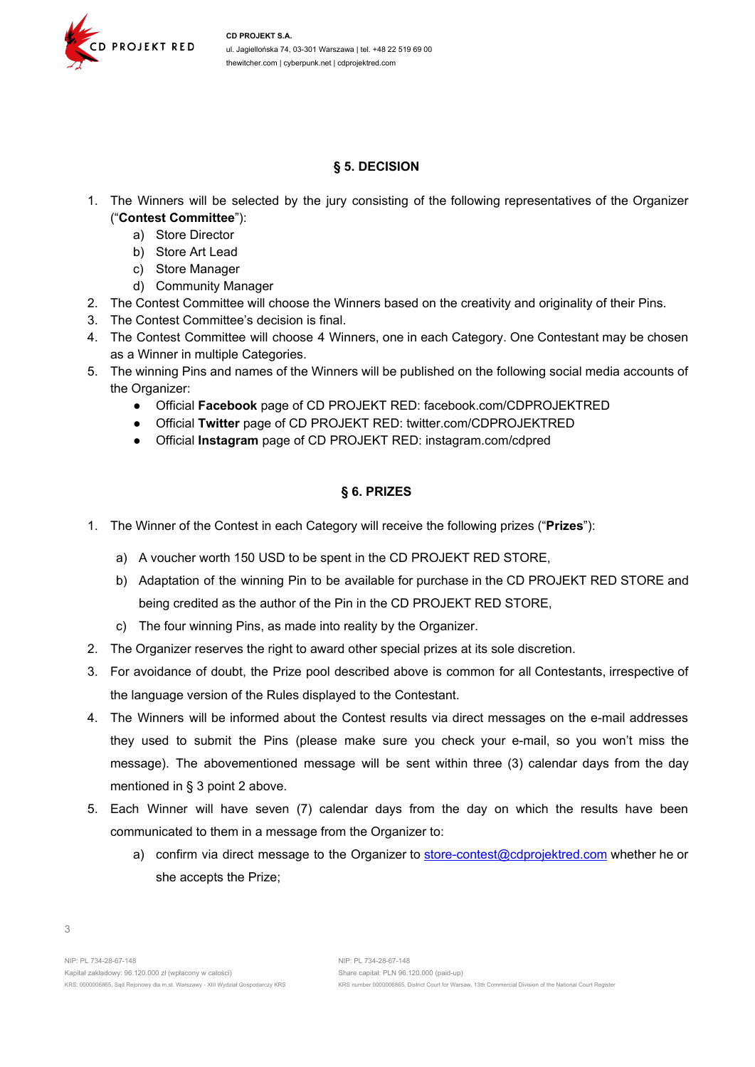

## **§ 5. DECISION**

- 1. The Winners will be selected by the jury consisting of the following representatives of the Organizer ("**Contest Committee**"):
	- a) Store Director
	- b) Store Art Lead
	- c) Store Manager
	- d) Community Manager
- 2. The Contest Committee will choose the Winners based on the creativity and originality of their Pins.
- 3. The Contest Committee's decision is final.
- 4. The Contest Committee will choose 4 Winners, one in each Category. One Contestant may be chosen as a Winner in multiple Categories.
- 5. The winning Pins and names of the Winners will be published on the following social media accounts of the Organizer:
	- Official **Facebook** page of CD PROJEKT RED: facebook.com/CDPROJEKTRED
	- Official **Twitter** page of CD PROJEKT RED: twitter.com/CDPROJEKTRED
	- Official **Instagram** page of CD PROJEKT RED: instagram.com/cdpred

### **§ 6. PRIZES**

- 1. The Winner of the Contest in each Category will receive the following prizes ("**Prizes**"):
	- a) A voucher worth 150 USD to be spent in the CD PROJEKT RED STORE,
	- b) Adaptation of the winning Pin to be available for purchase in the CD PROJEKT RED STORE and being credited as the author of the Pin in the CD PROJEKT RED STORE,
	- c) The four winning Pins, as made into reality by the Organizer.
- 2. The Organizer reserves the right to award other special prizes at its sole discretion.
- 3. For avoidance of doubt, the Prize pool described above is common for all Contestants, irrespective of the language version of the Rules displayed to the Contestant.
- 4. The Winners will be informed about the Contest results via direct messages on the e-mail addresses they used to submit the Pins (please make sure you check your e-mail, so you won't miss the message). The abovementioned message will be sent within three (3) calendar days from the day mentioned in § 3 point 2 above.
- 5. Each Winner will have seven (7) calendar days from the day on which the results have been communicated to them in a message from the Organizer to:
	- a) confirm via direct message to the Organizer to [store-contest@cdprojektred.com](mailto:store-contest@cdprojektred.com) whether he or she accepts the Prize;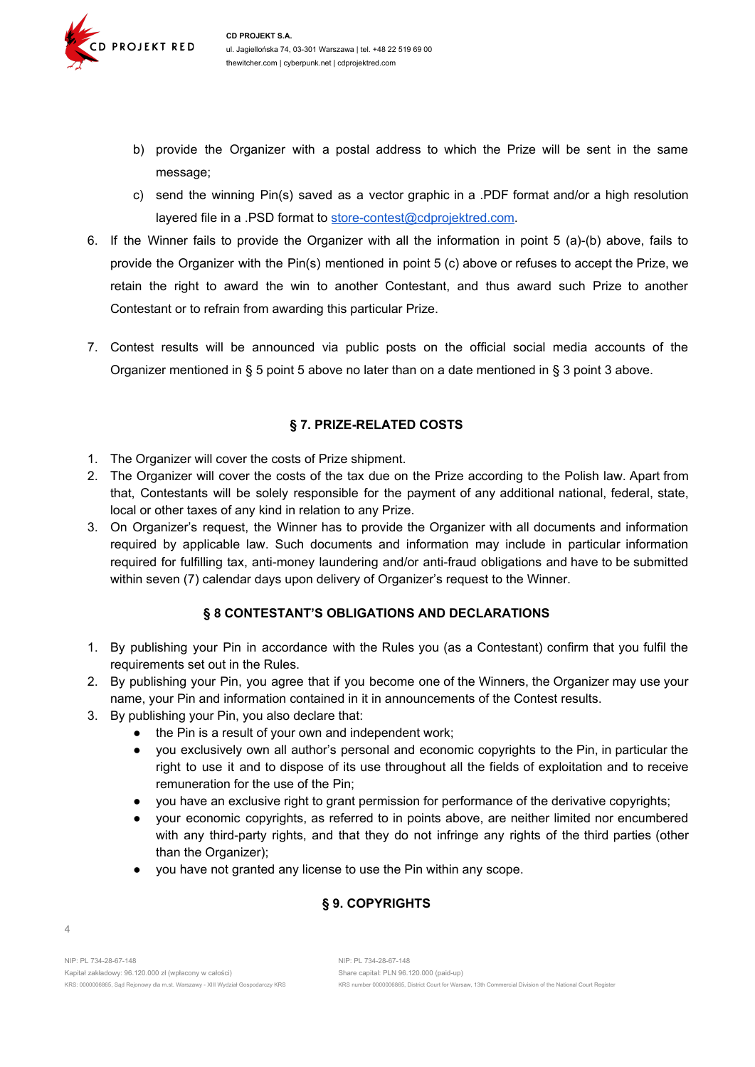

- b) provide the Organizer with a postal address to which the Prize will be sent in the same message;
- c) send the winning Pin(s) saved as a vector graphic in a .PDF format and/or a high resolution layered file in a .PSD format to [store-contest@cdprojektred.com](mailto:store-contest@cdprojektred.com).
- 6. If the Winner fails to provide the Organizer with all the information in point 5 (a)-(b) above, fails to provide the Organizer with the Pin(s) mentioned in point 5 (c) above or refuses to accept the Prize, we retain the right to award the win to another Contestant, and thus award such Prize to another Contestant or to refrain from awarding this particular Prize.
- 7. Contest results will be announced via public posts on the official social media accounts of the Organizer mentioned in § 5 point 5 above no later than on a date mentioned in § 3 point 3 above.

# **§ 7. PRIZE-RELATED COSTS**

- 1. The Organizer will cover the costs of Prize shipment.
- 2. The Organizer will cover the costs of the tax due on the Prize according to the Polish law. Apart from that, Contestants will be solely responsible for the payment of any additional national, federal, state, local or other taxes of any kind in relation to any Prize.
- 3. On Organizer's request, the Winner has to provide the Organizer with all documents and information required by applicable law. Such documents and information may include in particular information required for fulfilling tax, anti-money laundering and/or anti-fraud obligations and have to be submitted within seven (7) calendar days upon delivery of Organizer's request to the Winner.

# **§ 8 CONTESTANT'S OBLIGATIONS AND DECLARATIONS**

- 1. By publishing your Pin in accordance with the Rules you (as a Contestant) confirm that you fulfil the requirements set out in the Rules.
- 2. By publishing your Pin, you agree that if you become one of the Winners, the Organizer may use your name, your Pin and information contained in it in announcements of the Contest results.
- 3. By publishing your Pin, you also declare that:
	- the Pin is a result of your own and independent work;
	- you exclusively own all author's personal and economic copyrights to the Pin, in particular the right to use it and to dispose of its use throughout all the fields of exploitation and to receive remuneration for the use of the Pin;
	- you have an exclusive right to grant permission for performance of the derivative copyrights;
	- your economic copyrights, as referred to in points above, are neither limited nor encumbered with any third-party rights, and that they do not infringe any rights of the third parties (other than the Organizer);
	- you have not granted any license to use the Pin within any scope.

# **§ 9. COPYRIGHTS**

4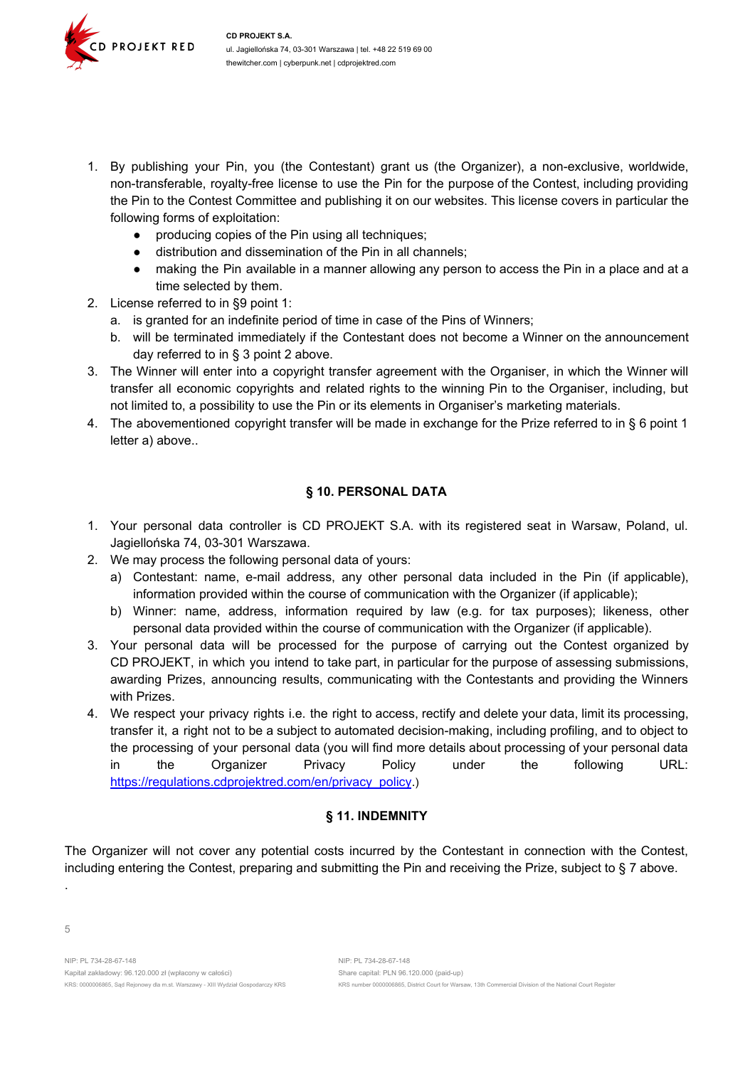

- 1. By publishing your Pin, you (the Contestant) grant us (the Organizer), a non-exclusive, worldwide, non-transferable, royalty-free license to use the Pin for the purpose of the Contest, including providing the Pin to the Contest Committee and publishing it on our websites. This license covers in particular the following forms of exploitation:
	- producing copies of the Pin using all techniques;
	- distribution and dissemination of the Pin in all channels;
	- making the Pin available in a manner allowing any person to access the Pin in a place and at a time selected by them.
- 2. License referred to in §9 point 1:
	- a. is granted for an indefinite period of time in case of the Pins of Winners;
	- b. will be terminated immediately if the Contestant does not become a Winner on the announcement day referred to in § 3 point 2 above.
- 3. The Winner will enter into a copyright transfer agreement with the Organiser, in which the Winner will transfer all economic copyrights and related rights to the winning Pin to the Organiser, including, but not limited to, a possibility to use the Pin or its elements in Organiser's marketing materials.
- 4. The abovementioned copyright transfer will be made in exchange for the Prize referred to in § 6 point 1 letter a) above..

## **§ 10. PERSONAL DATA**

- 1. Your personal data controller is CD PROJEKT S.A. with its registered seat in Warsaw, Poland, ul. Jagiellońska 74, 03-301 Warszawa.
- 2. We may process the following personal data of yours:
	- a) Contestant: name, e-mail address, any other personal data included in the Pin (if applicable), information provided within the course of communication with the Organizer (if applicable);
	- b) Winner: name, address, information required by law (e.g. for tax purposes); likeness, other personal data provided within the course of communication with the Organizer (if applicable).
- 3. Your personal data will be processed for the purpose of carrying out the Contest organized by CD PROJEKT, in which you intend to take part, in particular for the purpose of assessing submissions, awarding Prizes, announcing results, communicating with the Contestants and providing the Winners with Prizes.
- 4. We respect your privacy rights i.e. the right to access, rectify and delete your data, limit its processing, transfer it, a right not to be a subject to automated decision-making, including profiling, and to object to the processing of your personal data (you will find more details about processing of your personal data in the Organizer Privacy Policy under the following URL: [https://regulations.cdprojektred.com/en/privacy\\_policy](https://regulations.cdprojektred.com/en/privacy_policy).)

## **§ 11. INDEMNITY**

The Organizer will not cover any potential costs incurred by the Contestant in connection with the Contest, including entering the Contest, preparing and submitting the Pin and receiving the Prize, subject to § 7 above.

.